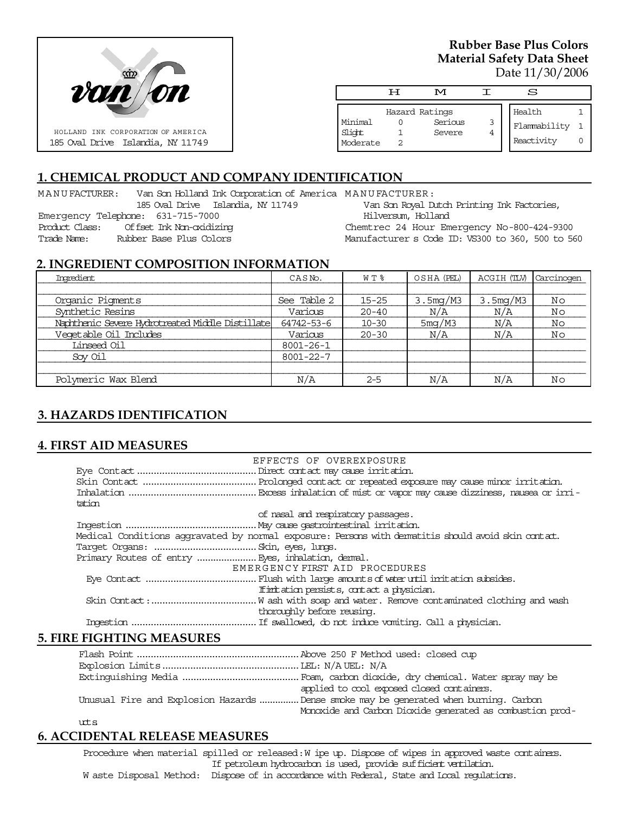

### **Rubber Base Plus Colors Material Safety Data Sheet** Date 11/30/2006

|                               | டா             | M                 |        | S                          |  |
|-------------------------------|----------------|-------------------|--------|----------------------------|--|
|                               | Hazard Ratings |                   |        | Health                     |  |
| Minimal<br>Slight<br>Moderate |                | Serious<br>Severe | 3<br>4 | Flammability<br>Reactivity |  |

# **1. CHEMICAL PRODUCT AND COMPANY IDENTIFICATION**

MANUFACTURER: Van Son Holland Ink Corporation of America MANUFACTURER:

185 Oval Drive Islandia, NY 11749 Emergency Telephone: 631-715-7000 Product Class: Offset Ink Non-oxidizing Trade Name: Rubber Base Plus Colors

Van Son Royal Dutch Printing Ink Factories, Hilversum, Holland

Chemtrec 24 Hour Emergency No-800-424-9300 Manufacturer s Code ID: VS300 to 360, 500 to 560

### **2. INGREDIENT COMPOSITION INFORMATION**

| Imredient                                        | CASN <sub>o</sub> . | WT %      | OSHA (PEL) | ACGIH (TLV)           | Carcinogen |
|--------------------------------------------------|---------------------|-----------|------------|-----------------------|------------|
|                                                  |                     |           |            |                       |            |
| Organic Pigments                                 | See Table 2         | $15 - 25$ | 3.5mg/M3   | 3.5 <sub>mq</sub> /M3 | Νo         |
| Synthetic Resins                                 | Various             | $20 - 40$ | N/A        | N/A                   | Νo         |
| Naphthenic Severe Hydrotreated Middle Distillate | 64742-53-6          | $10 - 30$ | 5mg/M3     | N/A                   | No         |
| Veqetable Oil Includes                           | Various             | $20 - 30$ | N/A        | N/A                   | Νo         |
| Linseed Oil                                      | $8001 - 26 - 1$     |           |            |                       |            |
| Sov Oil                                          | $8001 - 22 - 7$     |           |            |                       |            |
|                                                  |                     |           |            |                       |            |
| Polymeric Wax Blend                              | N/A                 | $2 - 5$   | N/A        | N/A                   | Νo         |

### **3. HAZARDS IDENTIFICATION**

#### **4. FIRST AID MEASURES**

|        | EFFECTS OF OVEREXPOSURE                                                                             |
|--------|-----------------------------------------------------------------------------------------------------|
|        |                                                                                                     |
|        |                                                                                                     |
|        |                                                                                                     |
| tation |                                                                                                     |
|        | of nasal and respiratory passages.                                                                  |
|        |                                                                                                     |
|        | Medical Conditions aggravated by normal exposure: Persons with dematitis should avoid skin contact. |
|        |                                                                                                     |
|        |                                                                                                     |
|        | EMERGENCY FIRST AID PROCEDURES                                                                      |
|        |                                                                                                     |
|        | If initiation persists, contact a physician.                                                        |
|        |                                                                                                     |
|        | thoroughly before reusing.                                                                          |
|        |                                                                                                     |

### **5. FIRE FIGHTING MEASURES**

|        | applied to cool exposed closed containers.                                            |
|--------|---------------------------------------------------------------------------------------|
|        | Unusual Fire and Explosion Hazards  Dense smoke may be generated when burning. Carbon |
|        | Monoxide and Carbon Dioxide generated as combustion prod-                             |
| $10+5$ |                                                                                       |

# **6. ACCIDENTAL RELEASE MEASURES**

Procedure when material spilled or released: W ipe up. Dispose of wipes in approved waste containers. If petroleum hydrocarbon is used, provide sufficient ventilation. W aste Disposal Method: Dispose of in accordance with Federal, State and Local regulations.